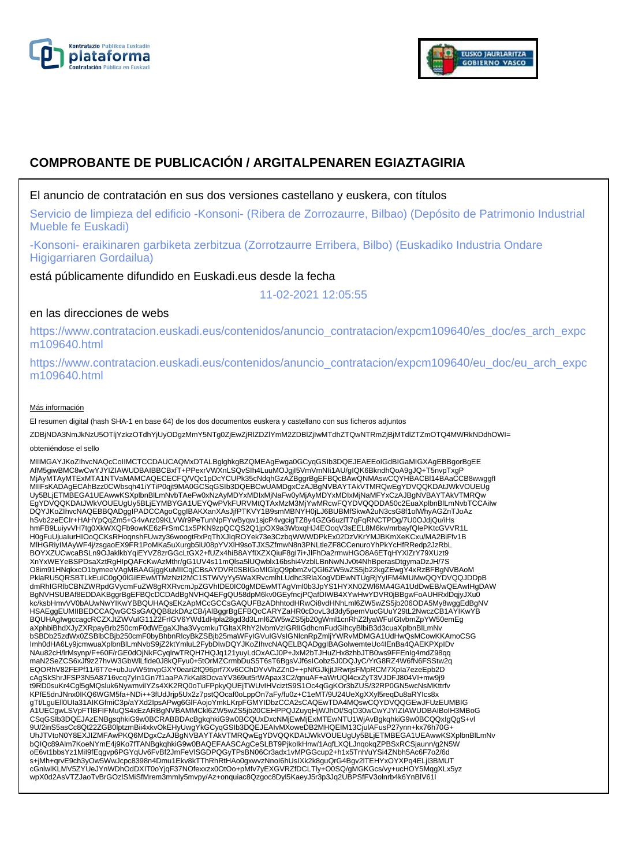



# **COMPROBANTE DE PUBLICACIÓN / ARGITALPENAREN EGIAZTAGIRIA**

# El anuncio de contratación en sus dos versiones castellano y euskera, con títulos

Servicio de limpieza del edificio -Konsoni- (Ribera de Zorrozaurre, Bilbao) (Depósito de Patrimonio Industrial Mueble fe Euskadi)

-Konsoni- eraikinaren garbiketa zerbitzua (Zorrotzaurre Erribera, Bilbo) (Euskadiko Industria Ondare Higigarriaren Gordailua)

está públicamente difundido en Euskadi.eus desde la fecha

11-02-2021 12:05:55

## en las direcciones de webs

https://www.contratacion.euskadi.eus/contenidos/anuncio\_contratacion/expcm109640/es\_doc/es\_arch\_expc m109640.html

https://www.contratacion.euskadi.eus/contenidos/anuncio\_contratacion/expcm109640/eu\_doc/eu\_arch\_expc m109640.html

#### Más información

El resumen digital (hash SHA-1 en base 64) de los dos documentos euskera y castellano con sus ficheros adjuntos

ZDBjNDA3NmJkNzU5OTljYzkzOTdhYjUyODgzMmY5NTg0ZjEwZjRlZDZlYmM2ZDBlZjIwMTdhZTQwNTRmZjBjMTdlZTZmOTQ4MWRkNDdhOWI=

#### obteniéndose el sello

MIIMGAYJKoZIhvcNAQcCoIIMCTCCDAUCAQMxDTALBglghkgBZQMEAgEwga0GCyqGSIb3DQEJEAEEoIGdBIGaMIGXAgEBBgorBgEE AfM5giwBMC8wCwYJYIZIAWUDBAIBBCBxfT+PPexrVWXnLSQvSIh4LuuMOJgjI5VmVmNIi1AU/gIQK6BkndhQoA9gJQ+T5nvpTxgP MjAyMTAyMTExMTA1NTVaMAMCAQECECFQ/VQc1pDcYCUPk35cNdqhGzAZBggrBgEFBQcBAwQNMAswCQYHBACBl14BAaCCB8wwggfI MIIFsKADAgECAhBzz0CWbsqh41iYTiP0qjt9MA0GCSqGSIb3DQEBCwUAMDgxCzAJBgNVBAYTAkVTMRQwEgYDVQQKDAtJWkVOUEUg Uy5BLjETMBEGA1UEAwwKSXplbnBlLmNvbTAeFw0xNzAyMDYxMDIxMjNaFw0yMjAyMDYxMDIxMjNaMFYxCzAJBgNVBAYTAkVTMRQw<br>EgYDVQQKDAtJWkVOUEUgUy5BLjEYMBYGA1UEYQwPVkFURVMtQTAxMzM3MjYwMRcwFQYDVQQDDA50c2EuaXplbnBlLmNvbTCCAiIw DQYJKoZIhvcNAQEBBQADggIPADCCAgoCggIBAKXanXAsJjfPTKVY1B9smMBNYH0jLJ6BUBMfSkwA2uN3csG8f1olWhyAGZnTJoAz hSvb2zeECIr+HAHYpQqZm5+G4vArz09KLVWr9PeTunNpFYwByqw1sjcP4vgcigTZ8y4GZG6uzlT7qFqRNCTPDg/7U0OJdjQu/iHs hmFB9LuiyvVH7tg0XkWXQFb9owKE6zFrSmC1x5PKN9zpQCQS2Q1jpOX9a3WbxqHJ4EOoqV3sEEL8M6kv/mrbayfQlePKtcGVVR1L H0gFuUjuaIurHIOoQCKsRHoqnshFUwzy36woogtRxPqThXJIqROYek73e3CzbqWWWDPkEx02DzVKrYMJBKmXeKCxu/MA2BiFfv1B MlHGRiyIMAyWF4j/zsgaoEX9FR1PoMKa5uXurgb5lU08pYVXlH9soTJXSZfmwN8n3PNLtleZF8CCenuroYhPkYcHfRRedp2JzRbL BOYXZUCwcaBSLn9OJaklkbYqiEYVZ8zrGGcLtGX2+fUZx4hiB8AYfIXZXQiuF8gI7i+JlFhDa2rmwHGO8A6ETqHYXlZrY79XUzt9 XnYxWEYeBSPDsaXztRgHlpQAFcKwAzMthr/gG1UV4s11mQlsa5lUQwblx16bshi4VzblLBnNwNJv0t4NhBperasDtgymaDzJH/7S<br>O8im91HNqkxcO1bymeeVAgMBAAGjggKuMIICqjCBsAYDVR0SBIGoMIGlgQ9pbmZvQGl6ZW5wZS5jb22kgZEwgY4xRzBFBgNVBAoM PklaRU5QRSBTLkEuIC0gQ0lGIEEwMTMzNzI2MC1STWVyYy5WaXRvcmlhLUdhc3RlaXogVDEwNTUgRjYyIFM4MUMwQQYDVQQJDDpB dmRhIGRlbCBNZWRpdGVycmFuZW8gRXRvcmJpZGVhIDE0IC0gMDEwMTAgVml0b3JpYS1HYXN0ZWl6MA4GA1UdDwEB/wQEAwIHgDAW BgNVHSUBAf8EDDAKBggrBgEFBQcDCDAdBgNVHQ4EFgQU58dpM6kv0GEyfncjPQafDIWB4XYwHwYDVR0jBBgwFoAUHRxlDqjyJXu0 kc/ksbHmvVV0bAUwNwYIKwYBBQUHAQsEKzApMCcGCCsGAQUFBzADhhtodHRwOi8vdHNhLml6ZW5wZS5jb206ODA5My8wggEdBgNV HSAEggEUMIIBEDCCAQwGCSsGAQQB8zkDAzCB/jAlBggrBgEFBQcCARYZaHR0cDovL3d3dy5pemVucGUuY29tL2NwczCB1AYIKwYB BQUHAgIwgccagcRCZXJtZWVuIG11Z2FrIGV6YWd1dHpla28gd3d3Lml6ZW5wZS5jb20gWml1cnRhZ2lyaWFuIGtvbmZpYW50emEg aXphbiBhdXJyZXRpayBrb250cmF0dWEgaXJha3VycmkuTGltaXRhY2lvbmVzIGRlIGdhcmFudGlhcyBlbiB3d3cuaXplbnBlLmNv bSBDb25zdWx0ZSBlbCBjb250cmF0byBhbnRlcyBkZSBjb25maWFyIGVuIGVsIGNlcnRpZmljYWRvMDMGA1UdHwQsMCowKKAmoCSG Imh0dHA6Ly9jcmwuaXplbnBlLmNvbS9jZ2ktYmluL2FybDIwDQYJKoZIhvcNAQELBQADggIBAGolwemteUc4IEnBa4QAEKPXpIDv NAu82cH/lrMsynp/F+60F/rGE0dOjNkFCyqlrwTRQH7HQJq121yuyLdOxACJ0P+JxM2bTJHuZHx8zhbJTB0ws9FFEnIg4mdZ98qq maN2SeZCS6xJf9z27hvW3GbWlLfide0J8kQFyu0+5tOrMZCrmbDuS5T6sT6BgsVJf6sICobz5J0DQJyC/YrG8RZ4W6fN6FSStw2q EQORhV82FEPf11/6T7e+ubJuvW5tnvpGXY0eari2fQ96prf7Xv6CChDYvVhZZnD++pNfGJkjjtJRwrjsFMpRCM7XpIa7ezeEpb2D cAgSkShrJFSP3N5A8716vcq7yIn1Gn7f1aaPA7kKaI8DcvaYV369ut5rWApax3C2/qnuAF+aWrUQl4cxZyT3VJDFJ804VI+mw9j9 t9RD0suKr4Cgl5gMQsluk6NywmviIYZs4XK2RQ0oTuFPpkyQUEjTWUvIHVciztS9S1Oc4qGgKOr3bZUS/32RP0GN5wcNsMKttrfv KPfE5dnJNnx0IKQ6WGM5fa+NDi++3fUdJrjp5Ux2z7pstQOcaf0oLppOn7aFy/fu0z+C1eMT/9U24UeXgXXyl5reqDu8aRYIcs8x<br>gTt/LguEll0Ula31AIKGfmiC3p/aYXd2lpsAPwg6GlFAojoYmkLKrpFGMYIDbzCCA2sCAQEwTDA4MQswCQYDVQQGEwJFUzEUMBIG A1UECgwLSVpFTlBFIFMuQS4xEzARBgNVBAMMCkl6ZW5wZS5jb20CEHPPQJZuyqHjWJhOI/SqO30wCwYJYIZIAWUDBAIBoIH3MBoG CSqGSIb3DQEJAzENBgsqhkiG9w0BCRABBDAcBgkqhkiG9w0BCQUxDxcNMjEwMjExMTEwNTU1WjAvBgkqhkiG9w0BCQQxIgQgS+vl 9U/2inS5asCc8Qt22ZGB0lptzmBii4xkvOkEHyUwgYkGCyqGSIb3DQEJEAIvMXoweDB2MHQEIM13CjulAFusP27ynn+kx76h70G+ UhJTVtoN0Y8EXJIZMFAwPKQ6MDgxCzAJBgNVBAYTAkVTMRQwEgYDVQQKDAtJWkVOUEUgUy5BLjETMBEGA1UEAwwKSXplbnBlLmNv bQIQc89Alm7KoeNYmE4j9Ko7fTANBgkqhkiG9w0BAQEFAASCAgCeSLBT9PjkoIkHnw/1AqfLXQLJnqokqZPBSxRCSjaunn/g2N5W oE6vt1bbsYz1MiI9fEqgvp6PGYqUv6FvBf2JmFeVlSGDPQGyTPsBN06Cr3adx1vMPGGcup2+h1x5Tnh/uYSi4ZNbh5Ac6F7o2/6d s+jMh+qrvE9ch3yOw5WwJcpc8398n4Dmu1Ekv8kTThRhRtHAo0gxwvzNnoI6hUsIXk2k8guQrG4Bgv2lTEHYxOYXPq4ELjl3BMUT<br>cGnlwlKLMV5ZYUeJYnWDhOdDXIT0oYjqF37NOfexxzx0OtOo+pMfv7yEXGVRZfDCLTly+O0SQ/gMGKGcs/vy+ucHOY5MqgXLx5yz wpX0d2AsVTZJaoTvBrGOzlSMiSfMrem3mmIy5mvpy/Az+onquiac8Qzgoc8Dyl5KaeyJ5r3p3Jq2UBPSfFV3olnrb4k6YnBlV61l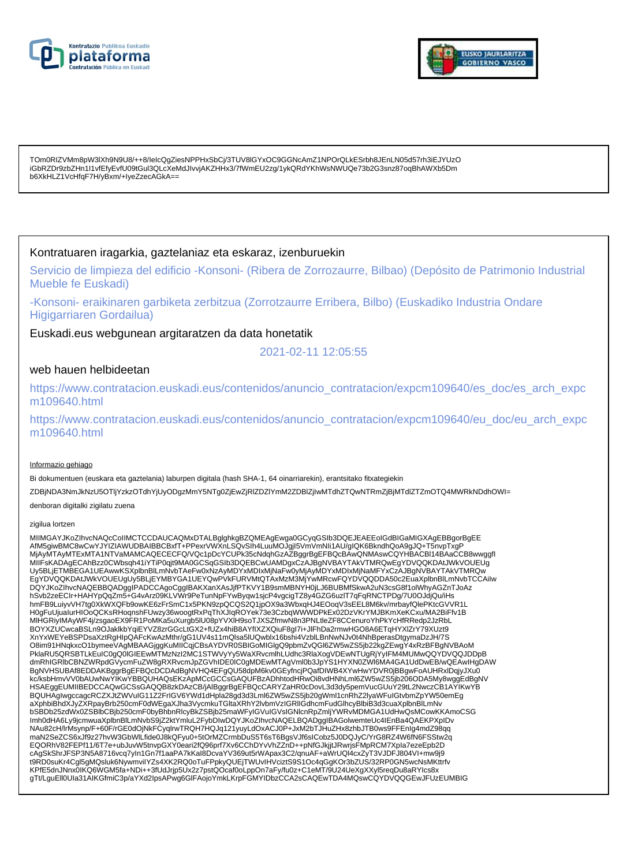



TOm0RIZVMm8pW3lXh9N9U8/++8/IeIcQgZiesNPPHxSbCj/3TUV8lGYxOC9GGNcAmZ1NPOrQLkESrbh8JEnLN05d57rh3iEJYUzO iGbRZDr9zbZHn1I1vfEfyEvfU09tGul3QLcXeMdJIvvjAKZHHx3/7fWmEU2zg/1ykQRdYKhWsNWUQe73b2G3snz87oqBhAWXb5Dm b6XkHLZ1VcHfqF7H/yBxm/+IyeZzecAGkA==

### Kontratuaren iragarkia, gaztelaniaz eta eskaraz, izenburuekin

Servicio de limpieza del edificio -Konsoni- (Ribera de Zorrozaurre, Bilbao) (Depósito de Patrimonio Industrial Mueble fe Euskadi)

-Konsoni- eraikinaren garbiketa zerbitzua (Zorrotzaurre Erribera, Bilbo) (Euskadiko Industria Ondare Higigarriaren Gordailua)

Euskadi.eus webgunean argitaratzen da data honetatik

2021-02-11 12:05:55

### web hauen helbideetan

https://www.contratacion.euskadi.eus/contenidos/anuncio\_contratacion/expcm109640/es\_doc/es\_arch\_expc m109640.html

https://www.contratacion.euskadi.eus/contenidos/anuncio\_contratacion/expcm109640/eu\_doc/eu\_arch\_expc m109640.html

#### Informazio gehiago

Bi dokumentuen (euskara eta gaztelania) laburpen digitala (hash SHA-1, 64 oinarriarekin), erantsitako fitxategiekin ZDBjNDA3NmJkNzU5OTljYzkzOTdhYjUyODgzMmY5NTg0ZjEwZjRlZDZlYmM2ZDBlZjIwMTdhZTQwNTRmZjBjMTdlZTZmOTQ4MWRkNDdhOWI= denboran digitalki zigilatu zuena

#### zigilua lortzen

MIIMGAYJKoZIhvcNAQcCoIIMCTCCDAUCAQMxDTALBglghkgBZQMEAgEwga0GCyqGSIb3DQEJEAEEoIGdBIGaMIGXAgEBBgorBgEE AfM5giwBMC8wCwYJYIZIAWUDBAIBBCBxfT+PPexrVWXnLSQvSIh4LuuMOJgjI5VmVmNIi1AU/gIQK6BkndhQoA9gJQ+T5nvpTxgP MjAyMTAyMTExMTA1NTVaMAMCAQECECFQ/VQc1pDcYCUPk35cNdqhGzAZBggrBgEFBQcBAwQNMAswCQYHBACBl14BAaCCB8wwggfI MIIFsKADAgECAhBzz0CWbsqh41iYTiP0qjt9MA0GCSqGSIb3DQEBCwUAMDgxCzAJBgNVBAYTAkVTMRQwEgYDVQQKDAtJWkVOUEUg Uy5BLjETMBEGA1UEAwwKSXplbnBlLmNvbTAeFw0xNzAyMDYxMDIxMjNaFw0yMjAyMDYxMDIxMjNaMFYxCzAJBgNVBAYTAkVTMRQw EgYDVQQKDAtJWkVOUEUgUy5BLjEYMBYGA1UEYQwPVkFURVMtQTAxMzM3MjYwMRcwFQYDVQQDDA50c2EuaXplbnBlLmNvbTCCAiIw DQYJKoZIhvcNAQEBBQADggIPADCCAgoCggIBAKXanXAsJjfPTKVY1B9smMBNYH0jLJ6BUBMfSkwA2uN3csG8f1olWhyAGZnTJoAz<br>hSvb2zeECIr+HAHYpQqZm5+G4vArz09KLVWr9PeTunNpFYwByqw1sjcP4vgcigTZ8y4GZG6uzlT7qFqRNCTPDg/7U0OJdjQu/iHs hmFB9LuiyvVH7tg0XkWXQFb9owKE6zFrSmC1x5PKN9zpQCQS2Q1jpOX9a3WbxqHJ4EOoqV3sEEL8M6kv/mrbayfQlePKtcGVVR1L<br>H0gFuUjuaIurHIOoQCKsRHoqnshFUwzy36woogtRxPqThXJIqROYek73e3CzbqWWWDPkEx02DzVKrYMJBKmXeKCxu/MA2BiFfv1B MlHGRiyIMAyWF4j/zsgaoEX9FR1PoMKa5uXurgb5lU08pYVXlH9soTJXSZfmwN8n3PNLtleZF8CCenuroYhPkYcHfRRedp2JzRbL BOYXZUCwcaBSLn9OJaklkbYqiEYVZ8zrGGcLtGX2+fUZx4hiB8AYfIXZXQiuF8gl7i+JlFhDa2rmwHGO8A6ETqHYXlZrY79XUzt9 XnYxWEYeBSPDsaXztRgHlpQAFcKwAzMthr/gG1UV4s11mQlsa5lUQwblx16bshi4VzblLBnNwNJv0t4NhBperasDtgymaDzJH/7S<br>O8im91HNqkxcO1bymeeVAgMBAAGjggKuMIICqjCBsAYDVR0SBIGoMIGlgQ9pbmZvQGl6ZW5wZS5jb22kgZEwgY4xRzBFBgNVBAoM PklaRU5QRSBTLkEuIC0gQ0IGIEEwMTMzNzI2MC1STWVyYy5WaXRvcmlhLUdhc3RlaXogVDEwNTUgRjYyIFM4MUMwQQYDVQQJDDpB<br>dmRhIGRIbCBNZWRpdGVycmFuZW8gRXRvcmJpZGVhIDE0IC0gMDEwMTAgVml0b3JpYS1HYXN0ZWI6MA4GA1UdDwEB/wQEAwIHgDAW BgNVHSUBAf8EDDAKBggrBgEFBQcDCDAdBgNVHQ4EFgQU58dpM6kv0GEyfncjPQafDIWB4XYwHwYDVR0jBBgwFoAUHRxlDqjyJXu0<br>kc/ksbHmvVV0bAUwNwYIKwYBBQUHAQsEKzApMCcGCCsGAQUFBzADhhtodHRwOi8vdHNhLml6ZW5wZS5jb206ODA5My8wggEdBgNV HSAEggEUMIIBEDCCAQwGCSsGAQQB8zkDAzCB/jAlBggrBgEFBQcCARYZaHR0cDovL3d3dy5pemVucGUuY29tL2NwczCB1AYIKwYB BQUHAgIwgccagcRCZXJtZWVuIG11Z2FrIGV6YWd1dHpla28gd3d3Lml6ZW5wZS5jb20gWml1cnRhZ2lyaWFuIGtvbmZpYW50emEg aXphbiBhdXJyZXRpayBrb250cmF0dWEgaXJha3VycmkuTGltaXRhY2lvbmVzIGRlIGdhcmFudGlhcyBlbiB3d3cuaXplbnBlLmNv bSBDb25zdWx0ZSBlbCBjb250cmF0byBhbnRlcyBkZSBjb25maWFyIGVuIGVsIGNlcnRpZmljYWRvMDMGA1UdHwQsMCowKKAmoCSG Imh0dHA6Ly9jcmwuaXplbnBlLmNvbS9jZ2ktYmluL2FybDIwDQYJKoZIhvcNAQELBQADggIBAGolwemteUc4IEnBa4QAEKPXpIDv<br>NAu82cH/lrMsynp/F+60F/rGE0dOjNkFCyqlrwTRQH7HQJq121yuyLdOxACJ0P+JxM2bTJHuZHx8zhbJTB0ws9FFEnIg4mdZ98qq maN2SeZCS6xJf9z27hvW3GbWlLfide0J8kQFyu0+5tOrMZCrmbDuS5T6sT6BgsVJf6sICobz5J0DQJyC/YrG8RZ4W6fN6FSStw2q EQORhV82FEPf11/6T7e+ubJuvW5tnvpGXY0eari2fQ96prf7Xv6CChDYvVhZZnD++pNfGJkjjtJRwrjsFMpRCM7XpIa7ezeEpb2D cAgSkShrJFSP3N5A8716vcq7yIn1Gn7f1aaPA7kKaI8DcvaYV369ut5rWApax3C2/qnuAF+aWrUQl4cxZyT3VJDFJ804VI+mw9j9 t9RD0suKr4Cgl5gMQsluk6NywmviIYZs4XK2RQ0oTuFPpkyQUEjTWUvIHVciztS9S1Oc4qGgKOr3bZUS/32RP0GN5wcNsMKttrfv KPfE5dnJNnx0IKQ6WGM5fa+NDi++3fUdJrjp5Ux2z7pstQOcaf0oLppOn7aFy/fu0z+C1eMT/9U24UeXgXXyl5reqDu8aRYIcs8x gTt/LguEll0UIa31AIKGfmiC3p/aYXd2IpsAPwg6GlFAojoYmkLKrpFGMYIDbzCCA2sCAQEwTDA4MQswCQYDVQQGEwJFUzEUMBIG